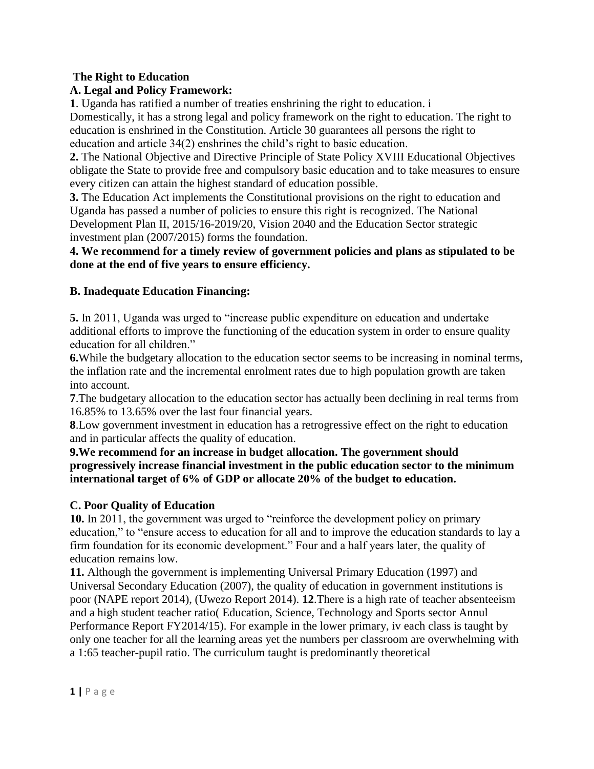## **The Right to Education**

# **A. Legal and Policy Framework:**

**1**. Uganda has ratified a number of treaties enshrining the right to education. i Domestically, it has a strong legal and policy framework on the right to education. The right to

education is enshrined in the Constitution. Article 30 guarantees all persons the right to education and article 34(2) enshrines the child's right to basic education.

**2.** The National Objective and Directive Principle of State Policy XVIII Educational Objectives obligate the State to provide free and compulsory basic education and to take measures to ensure every citizen can attain the highest standard of education possible.

**3.** The Education Act implements the Constitutional provisions on the right to education and Uganda has passed a number of policies to ensure this right is recognized. The National Development Plan II, 2015/16-2019/20, Vision 2040 and the Education Sector strategic investment plan (2007/2015) forms the foundation.

**4. We recommend for a timely review of government policies and plans as stipulated to be done at the end of five years to ensure efficiency.**

# **B. Inadequate Education Financing:**

**5.** In 2011, Uganda was urged to "increase public expenditure on education and undertake additional efforts to improve the functioning of the education system in order to ensure quality education for all children."

**6.**While the budgetary allocation to the education sector seems to be increasing in nominal terms, the inflation rate and the incremental enrolment rates due to high population growth are taken into account.

**7**.The budgetary allocation to the education sector has actually been declining in real terms from 16.85% to 13.65% over the last four financial years.

**8**.Low government investment in education has a retrogressive effect on the right to education and in particular affects the quality of education.

**9.We recommend for an increase in budget allocation. The government should progressively increase financial investment in the public education sector to the minimum international target of 6% of GDP or allocate 20% of the budget to education.**

## **C. Poor Quality of Education**

**10.** In 2011, the government was urged to "reinforce the development policy on primary education," to "ensure access to education for all and to improve the education standards to lay a firm foundation for its economic development." Four and a half years later, the quality of education remains low.

**11.** Although the government is implementing Universal Primary Education (1997) and Universal Secondary Education (2007), the quality of education in government institutions is poor (NAPE report 2014), (Uwezo Report 2014). **12**.There is a high rate of teacher absenteeism and a high student teacher ratio( Education, Science, Technology and Sports sector Annul Performance Report FY2014/15). For example in the lower primary, iv each class is taught by only one teacher for all the learning areas yet the numbers per classroom are overwhelming with a 1:65 teacher-pupil ratio. The curriculum taught is predominantly theoretical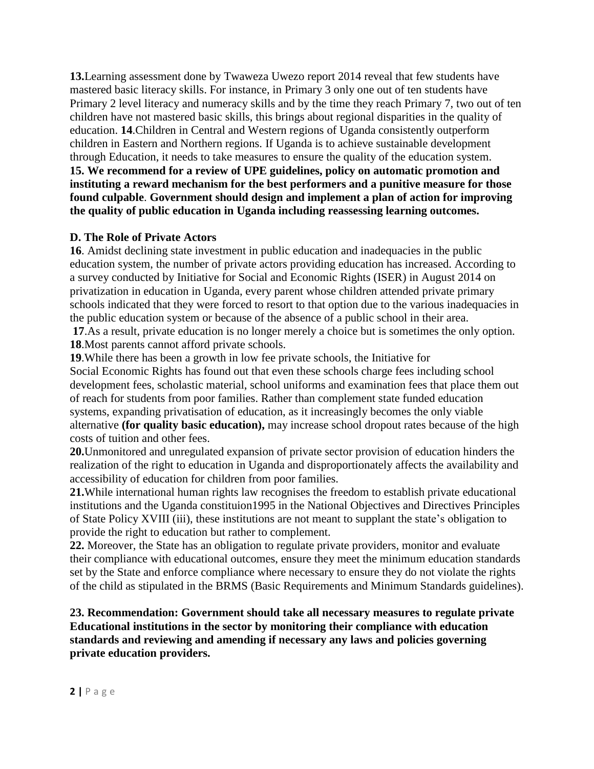**13.**Learning assessment done by Twaweza Uwezo report 2014 reveal that few students have mastered basic literacy skills. For instance, in Primary 3 only one out of ten students have Primary 2 level literacy and numeracy skills and by the time they reach Primary 7, two out of ten children have not mastered basic skills, this brings about regional disparities in the quality of education. **14**.Children in Central and Western regions of Uganda consistently outperform children in Eastern and Northern regions. If Uganda is to achieve sustainable development through Education, it needs to take measures to ensure the quality of the education system. **15. We recommend for a review of UPE guidelines, policy on automatic promotion and instituting a reward mechanism for the best performers and a punitive measure for those found culpable**. **Government should design and implement a plan of action for improving the quality of public education in Uganda including reassessing learning outcomes.**

#### **D. The Role of Private Actors**

**16**. Amidst declining state investment in public education and inadequacies in the public education system, the number of private actors providing education has increased. According to a survey conducted by Initiative for Social and Economic Rights (ISER) in August 2014 on privatization in education in Uganda, every parent whose children attended private primary schools indicated that they were forced to resort to that option due to the various inadequacies in the public education system or because of the absence of a public school in their area.

**17**.As a result, private education is no longer merely a choice but is sometimes the only option. **18**.Most parents cannot afford private schools.

**19**.While there has been a growth in low fee private schools, the Initiative for Social Economic Rights has found out that even these schools charge fees including school development fees, scholastic material, school uniforms and examination fees that place them out of reach for students from poor families. Rather than complement state funded education systems, expanding privatisation of education, as it increasingly becomes the only viable alternative **(for quality basic education),** may increase school dropout rates because of the high costs of tuition and other fees.

**20.**Unmonitored and unregulated expansion of private sector provision of education hinders the realization of the right to education in Uganda and disproportionately affects the availability and accessibility of education for children from poor families.

**21.**While international human rights law recognises the freedom to establish private educational institutions and the Uganda constituion1995 in the National Objectives and Directives Principles of State Policy XVIII (iii), these institutions are not meant to supplant the state's obligation to provide the right to education but rather to complement.

**22.** Moreover, the State has an obligation to regulate private providers, monitor and evaluate their compliance with educational outcomes, ensure they meet the minimum education standards set by the State and enforce compliance where necessary to ensure they do not violate the rights of the child as stipulated in the BRMS (Basic Requirements and Minimum Standards guidelines).

**23. Recommendation: Government should take all necessary measures to regulate private Educational institutions in the sector by monitoring their compliance with education standards and reviewing and amending if necessary any laws and policies governing private education providers.**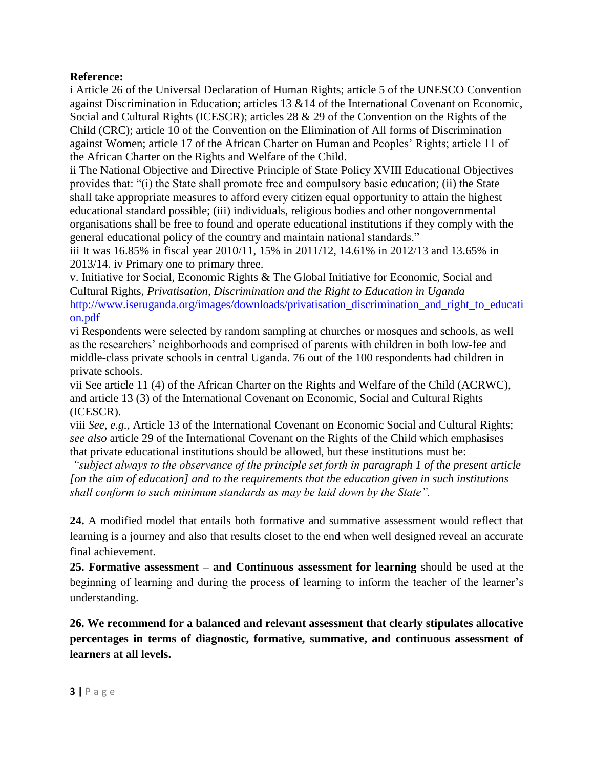## **Reference:**

i Article 26 of the Universal Declaration of Human Rights; article 5 of the UNESCO Convention against Discrimination in Education; articles 13 &14 of the International Covenant on Economic, Social and Cultural Rights (ICESCR); articles 28 & 29 of the Convention on the Rights of the Child (CRC); article 10 of the Convention on the Elimination of All forms of Discrimination against Women; article 17 of the African Charter on Human and Peoples' Rights; article 11 of the African Charter on the Rights and Welfare of the Child.

ii The National Objective and Directive Principle of State Policy XVIII Educational Objectives provides that: "(i) the State shall promote free and compulsory basic education; (ii) the State shall take appropriate measures to afford every citizen equal opportunity to attain the highest educational standard possible; (iii) individuals, religious bodies and other nongovernmental organisations shall be free to found and operate educational institutions if they comply with the general educational policy of the country and maintain national standards."

iii It was 16.85% in fiscal year 2010/11, 15% in 2011/12, 14.61% in 2012/13 and 13.65% in 2013/14. iv Primary one to primary three.

v. Initiative for Social, Economic Rights & The Global Initiative for Economic, Social and Cultural Rights, *Privatisation, Discrimination and the Right to Education in Uganda* http://www.iseruganda.org/images/downloads/privatisation\_discrimination\_and\_right\_to\_educati on.pdf

vi Respondents were selected by random sampling at churches or mosques and schools, as well as the researchers' neighborhoods and comprised of parents with children in both low-fee and middle-class private schools in central Uganda. 76 out of the 100 respondents had children in private schools.

vii See article 11 (4) of the African Charter on the Rights and Welfare of the Child (ACRWC), and article 13 (3) of the International Covenant on Economic, Social and Cultural Rights (ICESCR).

viii *See, e.g.,* Article 13 of the International Covenant on Economic Social and Cultural Rights; *see also* article 29 of the International Covenant on the Rights of the Child which emphasises that private educational institutions should be allowed, but these institutions must be:

*"subject always to the observance of the principle set forth in paragraph 1 of the present article [on the aim of education] and to the requirements that the education given in such institutions shall conform to such minimum standards as may be laid down by the State".*

**24.** A modified model that entails both formative and summative assessment would reflect that learning is a journey and also that results closet to the end when well designed reveal an accurate final achievement.

**25. Formative assessment – and Continuous assessment for learning** should be used at the beginning of learning and during the process of learning to inform the teacher of the learner's understanding.

**26. We recommend for a balanced and relevant assessment that clearly stipulates allocative percentages in terms of diagnostic, formative, summative, and continuous assessment of learners at all levels.**